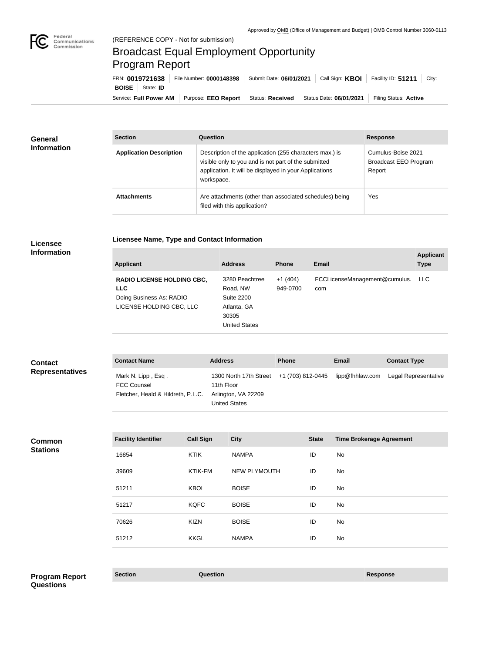

## Broadcast Equal Employment Opportunity Program Report

**Licensee Name, Type and Contact Information**

Service: Full Power AM | Purpose: EEO Report | Status: Received | Status Date: 06/01/2021 | Filing Status: Active **BOISE** State: **ID** FRN: **0019721638** File Number: **0000148398** Submit Date: **06/01/2021** Call Sign: **KBOI** Facility ID: **51211** City:

| <b>General</b><br><b>Information</b> | <b>Section</b>                 | <b>Question</b>                                                                                                                                                                         | <b>Response</b>                                              |
|--------------------------------------|--------------------------------|-----------------------------------------------------------------------------------------------------------------------------------------------------------------------------------------|--------------------------------------------------------------|
|                                      | <b>Application Description</b> | Description of the application (255 characters max.) is<br>visible only to you and is not part of the submitted<br>application. It will be displayed in your Applications<br>workspace. | Cumulus-Boise 2021<br><b>Broadcast EEO Program</b><br>Report |
|                                      | <b>Attachments</b>             | Are attachments (other than associated schedules) being<br>filed with this application?                                                                                                 | Yes                                                          |

## **Licensee Information**

| <b>Applicant</b>                                                                                        | <b>Address</b>                                                                           | <b>Phone</b>          | Email                                | <b>Applicant</b><br><b>Type</b> |
|---------------------------------------------------------------------------------------------------------|------------------------------------------------------------------------------------------|-----------------------|--------------------------------------|---------------------------------|
| <b>RADIO LICENSE HOLDING CBC,</b><br><b>LLC</b><br>Doing Business As: RADIO<br>LICENSE HOLDING CBC, LLC | 3280 Peachtree<br>Road, NW<br>Suite 2200<br>Atlanta, GA<br>30305<br><b>United States</b> | $+1(404)$<br>949-0700 | FCCLicenseManagement@cumulus.<br>com | LLC.                            |

| <b>Contact</b>         | <b>Contact Name</b>                                                            | <b>Address</b>                                                                                                        | <b>Phone</b> | <b>Email</b> | <b>Contact Type</b>  |
|------------------------|--------------------------------------------------------------------------------|-----------------------------------------------------------------------------------------------------------------------|--------------|--------------|----------------------|
| <b>Representatives</b> | Mark N. Lipp, Esq.<br><b>FCC Counsel</b><br>Fletcher, Heald & Hildreth, P.L.C. | 1300 North 17th Street +1 (703) 812-0445 lipp@fhhlaw.com<br>11th Floor<br>Arlington, VA 22209<br><b>United States</b> |              |              | Legal Representative |

**Common Stations**

| <b>Facility Identifier</b> | <b>Call Sign</b> | <b>City</b>         | <b>State</b> | <b>Time Brokerage Agreement</b> |
|----------------------------|------------------|---------------------|--------------|---------------------------------|
| 16854                      | <b>KTIK</b>      | <b>NAMPA</b>        | ID           | No                              |
| 39609                      | KTIK-FM          | <b>NEW PLYMOUTH</b> | ID           | No                              |
| 51211                      | <b>KBOI</b>      | <b>BOISE</b>        | ID           | No                              |
| 51217                      | <b>KQFC</b>      | <b>BOISE</b>        | ID           | No                              |
| 70626                      | <b>KIZN</b>      | <b>BOISE</b>        | ID           | <b>No</b>                       |
| 51212                      | <b>KKGL</b>      | <b>NAMPA</b>        | ID           | No                              |

**Section Question Response Program Report Questions**